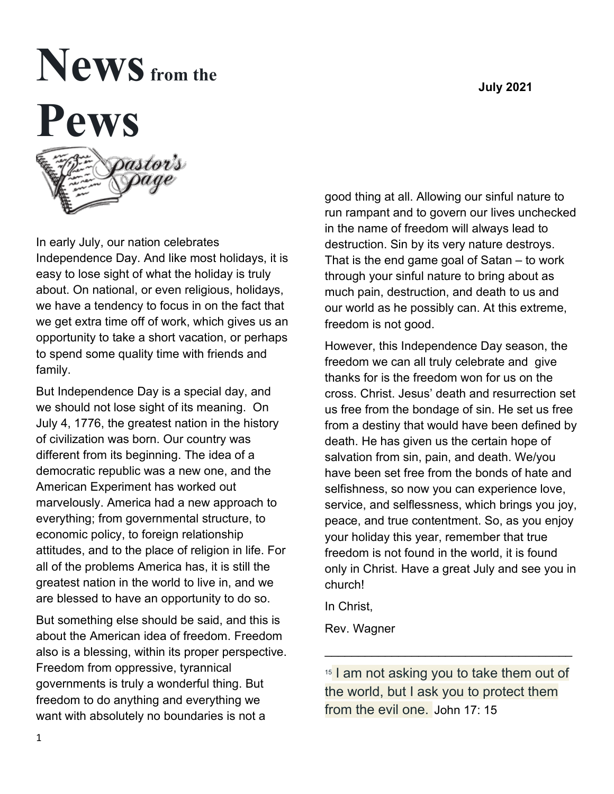# $N$ **eWS** from the **Pews**

In early July, our nation celebrates Independence Day. And like most holidays, it is easy to lose sight of what the holiday is truly about. On national, or even religious, holidays, we have a tendency to focus in on the fact that we get extra time off of work, which gives us an opportunity to take a short vacation, or perhaps to spend some quality time with friends and family.

But Independence Day is a special day, and we should not lose sight of its meaning. On July 4, 1776, the greatest nation in the history of civilization was born. Our country was different from its beginning. The idea of a democratic republic was a new one, and the American Experiment has worked out marvelously. America had a new approach to everything; from governmental structure, to economic policy, to foreign relationship attitudes, and to the place of religion in life. For all of the problems America has, it is still the greatest nation in the world to live in, and we are blessed to have an opportunity to do so.

But something else should be said, and this is about the American idea of freedom. Freedom also is a blessing, within its proper perspective. Freedom from oppressive, tyrannical governments is truly a wonderful thing. But freedom to do anything and everything we want with absolutely no boundaries is not a

good thing at all. Allowing our sinful nature to run rampant and to govern our lives unchecked in the name of freedom will always lead to destruction. Sin by its very nature destroys. That is the end game goal of Satan – to work through your sinful nature to bring about as much pain, destruction, and death to us and our world as he possibly can. At this extreme, freedom is not good.

However, this Independence Day season, the freedom we can all truly celebrate and give thanks for is the freedom won for us on the cross. Christ. Jesus' death and resurrection set us free from the bondage of sin. He set us free from a destiny that would have been defined by death. He has given us the certain hope of salvation from sin, pain, and death. We/you have been set free from the bonds of hate and selfishness, so now you can experience love, service, and selflessness, which brings you joy, peace, and true contentment. So, as you enjoy your holiday this year, remember that true freedom is not found in the world, it is found only in Christ. Have a great July and see you in church!

In Christ,

Rev. Wagner

<sup>15</sup> I am not asking you to take them out of the world, but I ask you to protect them from the evil one. John 17: 15

\_\_\_\_\_\_\_\_\_\_\_\_\_\_\_\_\_\_\_\_\_\_\_\_\_\_\_\_\_\_\_\_\_\_\_\_\_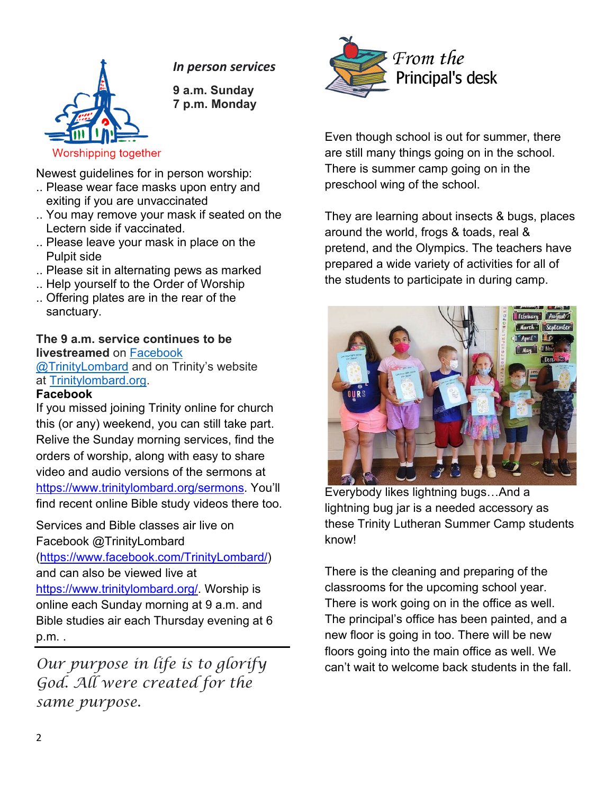### *In person services*



**9 a.m. Sunday 7 p.m. Monday**

Newest guidelines for in person worship:

- .. Please wear face masks upon entry and exiting if you are unvaccinated
- .. You may remove your mask if seated on the Lectern side if vaccinated.
- .. Please leave your mask in place on the Pulpit side
- .. Please sit in alternating pews as marked
- .. Help yourself to the Order of Worship
- .. Offering plates are in the rear of the sanctuary.

#### **The 9 a.m. service continues to be livestreamed** on [Facebook](https://www.facebook.com/TrinityLombard/)

[@TrinityLombard](https://www.facebook.com/TrinityLombard/) and on Trinity's website at [Trinitylombard.org.](https://www.trinitylombard.org/)

#### **Facebook**

If you missed joining Trinity online for church this (or any) weekend, you can still take part. Relive the Sunday morning services, find the orders of worship, along with easy to share video and audio versions of the sermons at [https://www.trinitylombard.org/sermons.](about:blank) You'll find recent online Bible study videos there too.

Services and Bible classes air live on Facebook @TrinityLombard

[\(https://www.facebook.com/TrinityLombard/\)](about:blank) and can also be viewed live at

[https://www.trinitylombard.org/.](about:blank) Worship is online each Sunday morning at 9 a.m. and Bible studies air each Thursday evening at 6 p.m. .

*Our purpose in life is to glorify God. All were created for the same purpose.*



Even though school is out for summer, there are still many things going on in the school. There is summer camp going on in the preschool wing of the school.

They are learning about insects & bugs, places around the world, frogs & toads, real & pretend, and the Olympics. The teachers have prepared a wide variety of activities for all of the students to participate in during camp.



Everybody likes lightning bugs…And a lightning bug jar is a needed accessory as these Trinity Lutheran Summer Camp students know!

There is the cleaning and preparing of the classrooms for the upcoming school year. There is work going on in the office as well. The principal's office has been painted, and a new floor is going in too. There will be new floors going into the main office as well. We can't wait to welcome back students in the fall.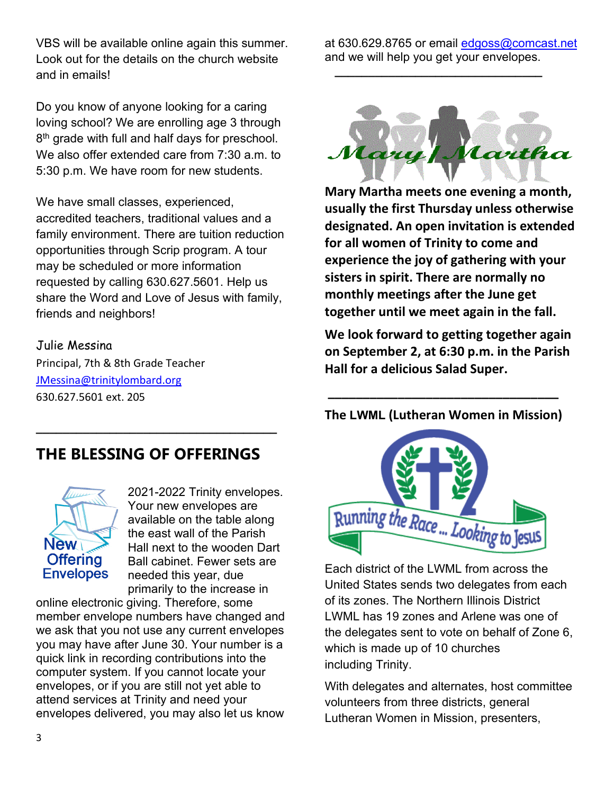VBS will be available online again this summer. Look out for the details on the church website and in emails!

Do you know of anyone looking for a caring loving school? We are enrolling age 3 through 8<sup>th</sup> grade with full and half days for preschool. We also offer extended care from 7:30 a.m. to 5:30 p.m. We have room for new students.

We have small classes, experienced, accredited teachers, traditional values and a family environment. There are tuition reduction opportunities through Scrip program. A tour may be scheduled or more information requested by calling 630.627.5601. Help us share the Word and Love of Jesus with family, friends and neighbors!

#### Julie Messina

Principal, 7th & 8th Grade Teacher [JMessina@trinitylombard.org](mailto:JMessina@trinitylombard.org) 630.627.5601 ext. 205

## **THE BLESSING OF OFFERINGS**

**\_\_\_\_\_\_\_\_\_\_\_\_\_\_\_\_\_\_\_\_\_\_\_\_\_\_\_\_\_\_\_\_\_\_\_\_**



2021-2022 Trinity envelopes. Your new envelopes are available on the table along the east wall of the Parish Hall next to the wooden Dart Ball cabinet. Fewer sets are needed this year, due primarily to the increase in

online electronic giving. Therefore, some member envelope numbers have changed and we ask that you not use any current envelopes you may have after June 30. Your number is a quick link in recording contributions into the computer system. If you cannot locate your envelopes, or if you are still not yet able to attend services at Trinity and need your envelopes delivered, you may also let us know

at 630.629.8765 or email [edgoss@comcast.net](mailto:edgoss@comcast.net) and we will help you get your envelopes.

 **\_\_\_\_\_\_\_\_\_\_\_\_\_\_\_\_\_\_\_\_\_\_\_\_\_\_\_\_\_\_\_**



**Mary Martha meets one evening a month, usually the first Thursday unless otherwise designated. An open invitation is extended for all women of Trinity to come and experience the joy of gathering with your sisters in spirit. There are normally no monthly meetings after the June get together until we meet again in the fall.** 

**We look forward to getting together again on September 2, at 6:30 p.m. in the Parish Hall for a delicious Salad Super.** 

#### **The LWML (Lutheran Women in Mission)**

**\_\_\_\_\_\_\_\_\_\_\_\_\_\_\_\_\_\_\_\_\_\_\_\_\_\_\_\_\_\_\_\_\_**



Each district of the LWML from across the United States sends two delegates from each of its zones. The Northern Illinois District LWML has 19 zones and Arlene was one of the delegates sent to vote on behalf of Zone 6, which is made up of 10 churches including Trinity.

With delegates and alternates, host committee volunteers from three districts, general Lutheran Women in Mission, presenters,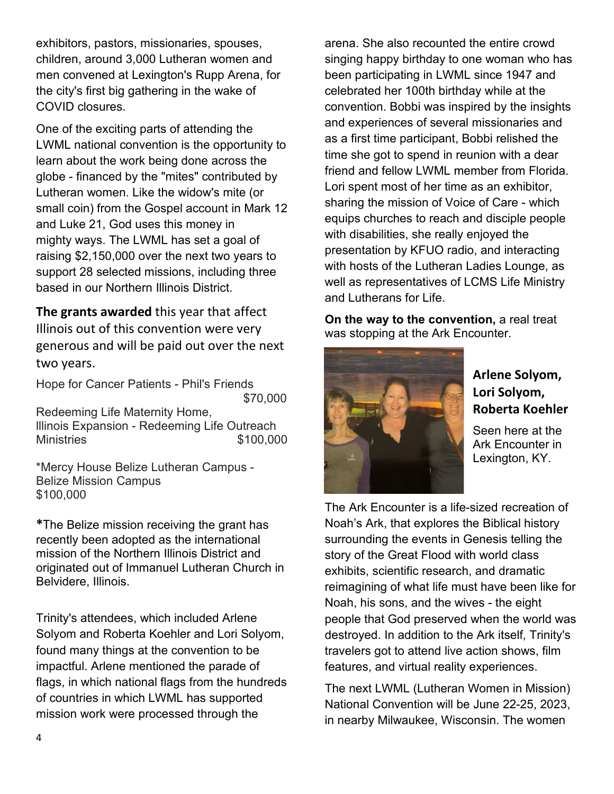exhibitors, pastors, missionaries, spouses, children, around 3,000 Lutheran women and men convened at Lexington's Rupp Arena, for the city's first big gathering in the wake of COVID closures.

One of the exciting parts of attending the LWML national convention is the opportunity to learn about the work being done across the globe - financed by the "mites" contributed by Lutheran women. Like the widow's mite (or small coin) from the Gospel account in Mark 12 and Luke 21, God uses this money in mighty ways. The LWML has set a goal of raising \$2,150,000 over the next two years to support 28 selected missions, including three based in our Northern Illinois District.

**The grants awarded** this year that affect Illinois out of this convention were very generous and will be paid out over the next two years.

Hope for Cancer Patients - Phil's Friends \$70,000 Redeeming Life Maternity Home, lllinois Expansion - Redeeming Life Outreach Ministries \$100,000

\*Mercy House Belize Lutheran Campus - Belize Mission Campus \$100,000

**\***The Belize mission receiving the grant has recently been adopted as the international mission of the Northern Illinois District and originated out of Immanuel Lutheran Church in Belvidere, Illinois.

Trinity's attendees, which included Arlene Solyom and Roberta Koehler and Lori Solyom, found many things at the convention to be impactful. Arlene mentioned the parade of flags, in which national flags from the hundreds of countries in which LWML has supported mission work were processed through the

arena. She also recounted the entire crowd singing happy birthday to one woman who has been participating in LWML since 1947 and celebrated her 100th birthday while at the convention. Bobbi was inspired by the insights and experiences of several missionaries and as a first time participant, Bobbi relished the time she got to spend in reunion with a dear friend and fellow LWML member from Florida. Lori spent most of her time as an exhibitor, sharing the mission of Voice of Care - which equips churches to reach and disciple people with disabilities, she really enjoyed the presentation by KFUO radio, and interacting with hosts of the Lutheran Ladies Lounge, as well as representatives of LCMS Life Ministry and Lutherans for Life.

**On the way to the convention,** a real treat was stopping at the Ark Encounter.



## **Arlene Solyom, Lori Solyom, Roberta Koehler**

Seen here at the Ark Encounter in Lexington, KY.

The Ark Encounter is a life-sized recreation of Noah's Ark, that explores the Biblical history surrounding the events in Genesis telling the story of the Great Flood with world class exhibits, scientific research, and dramatic reimagining of what life must have been like for Noah, his sons, and the wives - the eight people that God preserved when the world was destroyed. In addition to the Ark itself, Trinity's travelers got to attend live action shows, film features, and virtual reality experiences.

The next LWML (Lutheran Women in Mission) National Convention will be June 22-25, 2023, in nearby Milwaukee, Wisconsin. The women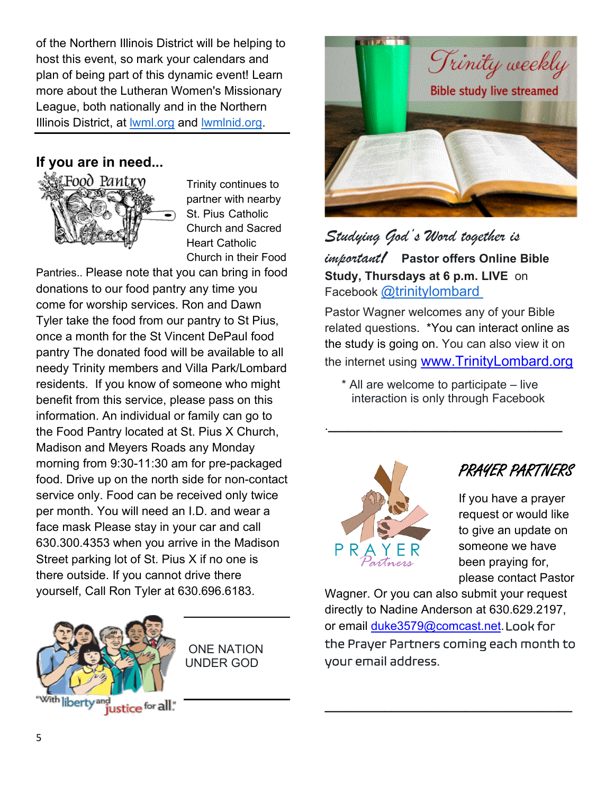of the Northern Illinois District will be helping to host this event, so mark your calendars and plan of being part of this dynamic event! Learn more about the Lutheran Women's Missionary League, both nationally and in the Northern Illinois District, at [lwml.org](https://www.lwml.org/) and [lwmlnid.org.](https://lwmlnid.org/)

## **If you are in need...**



Trinity continues to partner with nearby St. Pius Catholic Church and Sacred Heart Catholic Church in their Food

Pantries.. Please note that you can bring in food donations to our food pantry any time you come for worship services. Ron and Dawn Tyler take the food from our pantry to St Pius, once a month for the St Vincent DePaul food pantry The donated food will be available to all needy Trinity members and Villa Park/Lombard residents. If you know of someone who might benefit from this service, please pass on this information. An individual or family can go to the Food Pantry located at St. Pius X Church, Madison and Meyers Roads any Monday morning from 9:30-11:30 am for pre-packaged food. Drive up on the north side for non-contact service only. Food can be received only twice per month. You will need an I.D. and wear a face mask Please stay in your car and call 630.300.4353 when you arrive in the Madison Street parking lot of St. Pius X if no one is there outside. If you cannot drive there yourself, Call Ron Tyler at 630.696.6183.



ONE NATION UNDER GOD



*Studying God's Word together is* 

*important!* **Pastor offers Online Bible Study, Thursdays at 6 p.m. LIVE** on Facebook [@trinitylombard](https://www.facebook.com/TrinityLombard/)

Pastor Wagner welcomes any of your Bible related questions. \*You can interact online as the study is going on. You can also view it on the internet using <u>[www.TrinityLombard.org](http://www.trinitylombard.org/)</u>

 \* All are welcome to participate – live interaction is only through Facebook

.**\_\_\_\_\_\_\_\_\_\_\_\_\_\_\_\_\_\_\_\_\_\_\_\_\_\_\_\_\_\_\_\_\_\_\_**



## PRAYER PARTNERS

If you have a prayer request or would like to give an update on someone we have been praying for, please contact Pastor

Wagner. Or you can also submit your request directly to Nadine Anderson at 630.629.2197, or email [duke3579@comcast.net.](mailto:duke3579@comcast.net)Look for the Prayer Partners coming each month to your email address.

**\_\_\_\_\_\_\_\_\_\_\_\_\_\_\_\_\_\_\_\_\_\_\_\_\_\_\_\_\_\_\_\_\_\_\_\_\_**